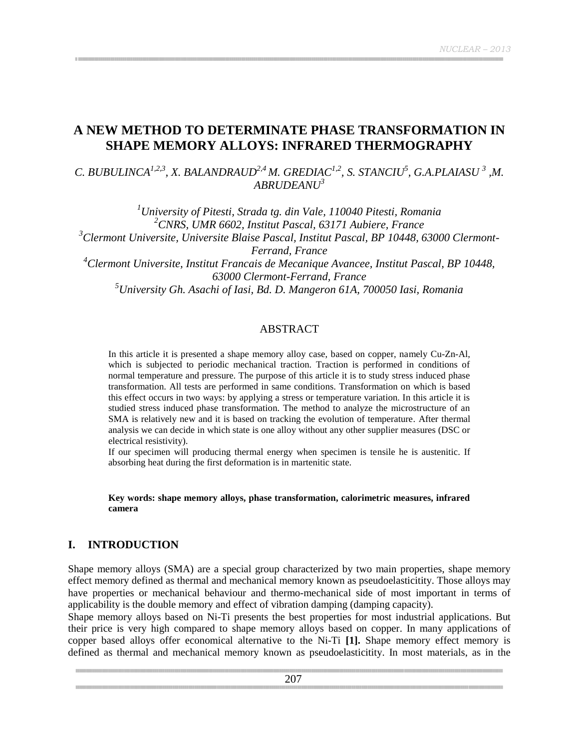# **A NEW METHOD TO DETERMINATE PHASE TRANSFORMATION IN SHAPE MEMORY ALLOYS: INFRARED THERMOGRAPHY**

*C. BUBULINCA1,2,3, X. BALANDRAUD2,4 M. GREDIAC1,2, S. STANCIU<sup>5</sup> , G.A.PLAIASU <sup>3</sup> ,M. ABRUDEANU<sup>3</sup>*

*University of Pitesti, Strada tg. din Vale, 110040 Pitesti, Romania CNRS, UMR 6602, Institut Pascal, 63171 Aubiere, France Clermont Universite, Universite Blaise Pascal, Institut Pascal, BP 10448, 63000 Clermont-Ferrand, France Clermont Universite, Institut Francais de Mecanique Avancee, Institut Pascal, BP 10448, 63000 Clermont-Ferrand, France University Gh. Asachi of Iasi, Bd. D. Mangeron 61A, 700050 Iasi, Romania*

## ABSTRACT

In this article it is presented a shape memory alloy case, based on copper, namely Cu-Zn-Al, which is subjected to periodic mechanical traction. Traction is performed in conditions of normal temperature and pressure. The purpose of this article it is to study stress induced phase transformation. All tests are performed in same conditions. Transformation on which is based this effect occurs in two ways: by applying a stress or temperature variation. In this article it is studied stress induced phase transformation. The method to analyze the microstructure of an SMA is relatively new and it is based on tracking the evolution of temperature. After thermal analysis we can decide in which state is one alloy without any other supplier measures (DSC or electrical resistivity).

If our specimen will producing thermal energy when specimen is tensile he is austenitic. If absorbing heat during the first deformation is in martenitic state.

**Key words: shape memory alloys, phase transformation, calorimetric measures, infrared camera**

## **I. INTRODUCTION**

Shape memory alloys (SMA) are a special group characterized by two main properties, shape memory effect memory defined as thermal and mechanical memory known as pseudoelasticitity. Those alloys may have properties or mechanical behaviour and thermo-mechanical side of most important in terms of applicability is the double memory and effect of vibration damping (damping capacity).

Shape memory alloys based on Ni-Ti presents the best properties for most industrial applications. But their price is very high compared to shape memory alloys based on copper. In many applications of copper based alloys offer economical alternative to the Ni-Ti **[1].** Shape memory effect memory is defined as thermal and mechanical memory known as pseudoelasticitity. In most materials, as in the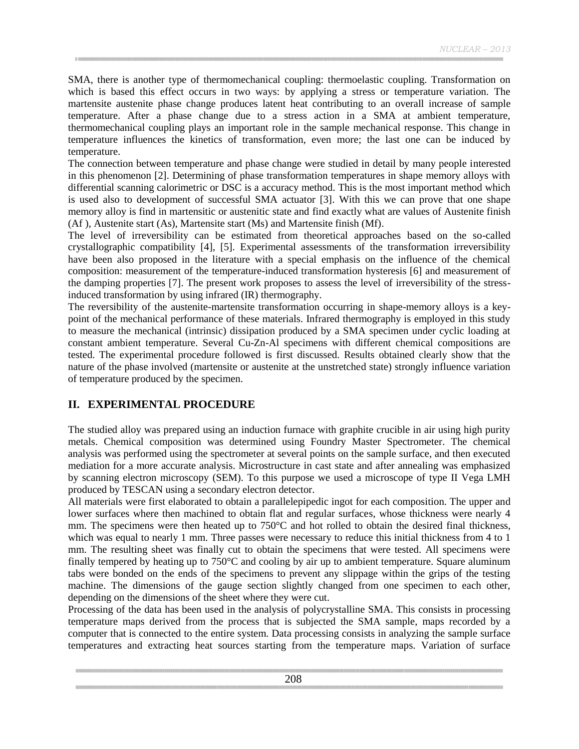SMA, there is another type of thermomechanical coupling: thermoelastic coupling. Transformation on which is based this effect occurs in two ways: by applying a stress or temperature variation. The martensite austenite phase change produces latent heat contributing to an overall increase of sample temperature. After a phase change due to a stress action in a SMA at ambient temperature, thermomechanical coupling plays an important role in the sample mechanical response. This change in temperature influences the kinetics of transformation, even more; the last one can be induced by temperature.

The connection between temperature and phase change were studied in detail by many people interested in this phenomenon [2]. Determining of phase transformation temperatures in shape memory alloys with differential scanning calorimetric or DSC is a accuracy method. This is the most important method which is used also to development of successful SMA actuator [3]. With this we can prove that one shape memory alloy is find in martensitic or austenitic state and find exactly what are values of Austenite finish (Af ), Austenite start (As), Martensite start (Ms) and Martensite finish (Mf).

The level of irreversibility can be estimated from theoretical approaches based on the so-called crystallographic compatibility [4], [5]. Experimental assessments of the transformation irreversibility have been also proposed in the literature with a special emphasis on the influence of the chemical composition: measurement of the temperature-induced transformation hysteresis [6] and measurement of the damping properties [7]. The present work proposes to assess the level of irreversibility of the stressinduced transformation by using infrared (IR) thermography.

The reversibility of the austenite-martensite transformation occurring in shape-memory alloys is a keypoint of the mechanical performance of these materials. Infrared thermography is employed in this study to measure the mechanical (intrinsic) dissipation produced by a SMA specimen under cyclic loading at constant ambient temperature. Several Cu-Zn-Al specimens with different chemical compositions are tested. The experimental procedure followed is first discussed. Results obtained clearly show that the nature of the phase involved (martensite or austenite at the unstretched state) strongly influence variation of temperature produced by the specimen.

# **II. EXPERIMENTAL PROCEDURE**

The studied alloy was prepared using an induction furnace with graphite crucible in air using high purity metals. Chemical composition was determined using Foundry Master Spectrometer. The chemical analysis was performed using the spectrometer at several points on the sample surface, and then executed mediation for a more accurate analysis. Microstructure in cast state and after annealing was emphasized by scanning electron microscopy (SEM). To this purpose we used a microscope of type II Vega LMH produced by TESCAN using a secondary electron detector.

All materials were first elaborated to obtain a parallelepipedic ingot for each composition. The upper and lower surfaces where then machined to obtain flat and regular surfaces, whose thickness were nearly 4 mm. The specimens were then heated up to 750°C and hot rolled to obtain the desired final thickness, which was equal to nearly 1 mm. Three passes were necessary to reduce this initial thickness from 4 to 1 mm. The resulting sheet was finally cut to obtain the specimens that were tested. All specimens were finally tempered by heating up to 750°C and cooling by air up to ambient temperature. Square aluminum tabs were bonded on the ends of the specimens to prevent any slippage within the grips of the testing machine. The dimensions of the gauge section slightly changed from one specimen to each other, depending on the dimensions of the sheet where they were cut.

Processing of the data has been used in the analysis of polycrystalline SMA. This consists in processing temperature maps derived from the process that is subjected the SMA sample, maps recorded by a computer that is connected to the entire system. Data processing consists in analyzing the sample surface temperatures and extracting heat sources starting from the temperature maps. Variation of surface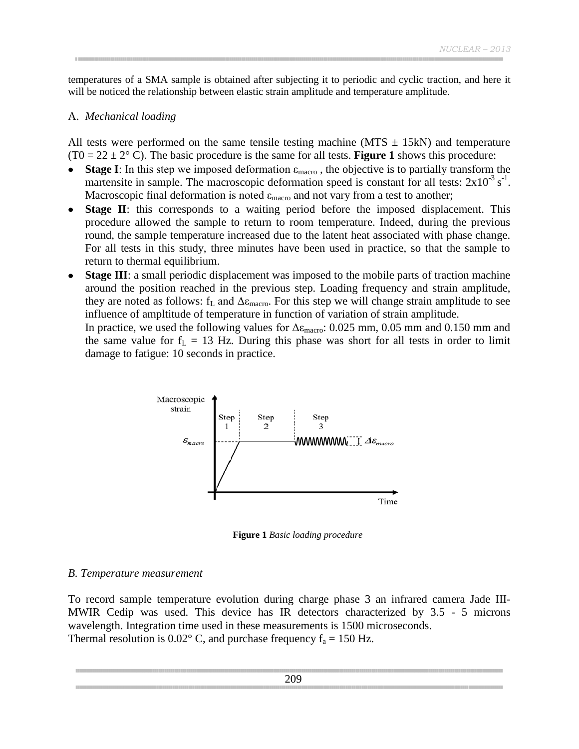temperatures of a SMA sample is obtained after subjecting it to periodic and cyclic traction, and here it will be noticed the relationship between elastic strain amplitude and temperature amplitude.

#### A. *Mechanical loading*

All tests were performed on the same tensile testing machine (MTS  $\pm$  15kN) and temperature  $(T0 = 22 \pm 2^{\circ}$  C). The basic procedure is the same for all tests. **Figure 1** shows this procedure:

- **Stage I**: In this step we imposed deformation εmacro , the objective is to partially transform the martensite in sample. The macroscopic deformation speed is constant for all tests:  $2x10^{-3} s^{-1}$ . Macroscopic final deformation is noted  $\varepsilon_{\text{macro}}$  and not vary from a test to another;
- **Stage II**: this corresponds to a waiting period before the imposed displacement. This procedure allowed the sample to return to room temperature. Indeed, during the previous round, the sample temperature increased due to the latent heat associated with phase change. For all tests in this study, three minutes have been used in practice, so that the sample to return to thermal equilibrium.
- **Stage III**: a small periodic displacement was imposed to the mobile parts of traction machine  $\bullet$ around the position reached in the previous step. Loading frequency and strain amplitude, they are noted as follows:  $f_L$  and  $\Delta \varepsilon_{macro}$ . For this step we will change strain amplitude to see influence of ampltitude of temperature in function of variation of strain amplitude.

In practice, we used the following values for  $\Delta \epsilon_{\text{macro}}$ : 0.025 mm, 0.05 mm and 0.150 mm and the same value for  $f_L = 13$  Hz. During this phase was short for all tests in order to limit damage to fatigue: 10 seconds in practice.



**Figure 1** *Basic loading procedure*

#### *B. Temperature measurement*

To record sample temperature evolution during charge phase 3 an infrared camera Jade III-MWIR Cedip was used. This device has IR detectors characterized by 3.5 - 5 microns wavelength. Integration time used in these measurements is 1500 microseconds. Thermal resolution is  $0.02^{\circ}$  C, and purchase frequency  $f_a = 150$  Hz.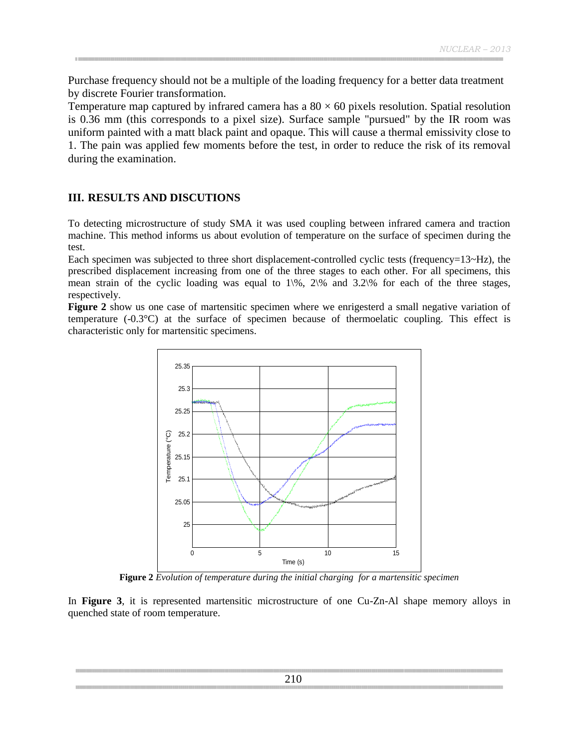Purchase frequency should not be a multiple of the loading frequency for a better data treatment by discrete Fourier transformation.

Temperature map captured by infrared camera has a  $80 \times 60$  pixels resolution. Spatial resolution is 0.36 mm (this corresponds to a pixel size). Surface sample "pursued" by the IR room was uniform painted with a matt black paint and opaque. This will cause a thermal emissivity close to 1. The pain was applied few moments before the test, in order to reduce the risk of its removal during the examination.

## **III. RESULTS AND DISCUTIONS**

To detecting microstructure of study SMA it was used coupling between infrared camera and traction machine. This method informs us about evolution of temperature on the surface of specimen during the test.

Each specimen was subjected to three short displacement-controlled cyclic tests (frequency=13~Hz), the prescribed displacement increasing from one of the three stages to each other. For all specimens, this mean strain of the cyclic loading was equal to  $1\frac{8}{3}$ ,  $2\frac{8}{3}$  and  $3.2\frac{8}{3}$  for each of the three stages, respectively.

**Figure 2** show us one case of martensitic specimen where we enrigesterd a small negative variation of temperature (-0.3°C) at the surface of specimen because of thermoelatic coupling. This effect is characteristic only for martensitic specimens.



**Figure 2** *Evolution of temperature during the initial charging for a martensitic specimen*

In **Figure 3**, it is represented martensitic microstructure of one Cu-Zn-Al shape memory alloys in quenched state of room temperature.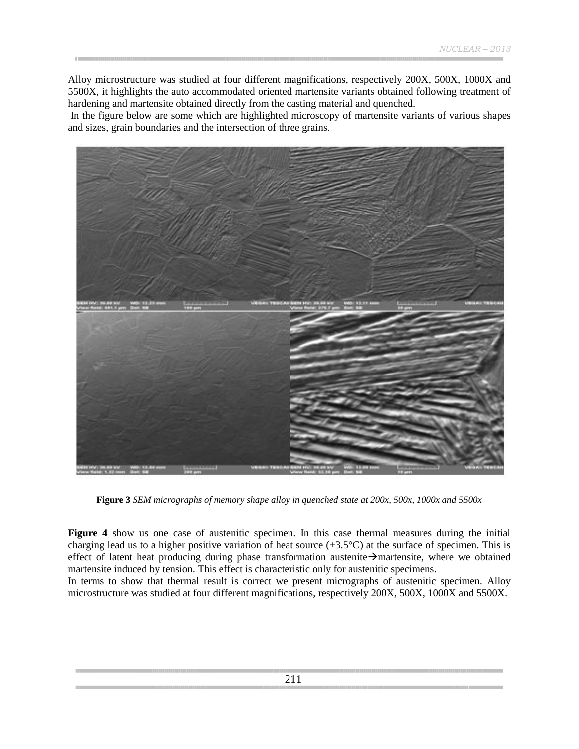Alloy microstructure was studied at four different magnifications, respectively 200X, 500X, 1000X and 5500X, it highlights the auto accommodated oriented martensite variants obtained following treatment of hardening and martensite obtained directly from the casting material and quenched.

In the figure below are some which are highlighted microscopy of martensite variants of various shapes and sizes, grain boundaries and the intersection of three grains.



**Figure 3** *SEM micrographs of memory shape alloy in quenched state at 200x, 500x, 1000x and 5500x*

**Figure 4** show us one case of austenitic specimen. In this case thermal measures during the initial charging lead us to a higher positive variation of heat source (+3.5°C) at the surface of specimen. This is effect of latent heat producing during phase transformation austenite $\rightarrow$ martensite, where we obtained martensite induced by tension. This effect is characteristic only for austenitic specimens.

In terms to show that thermal result is correct we present micrographs of austenitic specimen. Alloy microstructure was studied at four different magnifications, respectively 200X, 500X, 1000X and 5500X.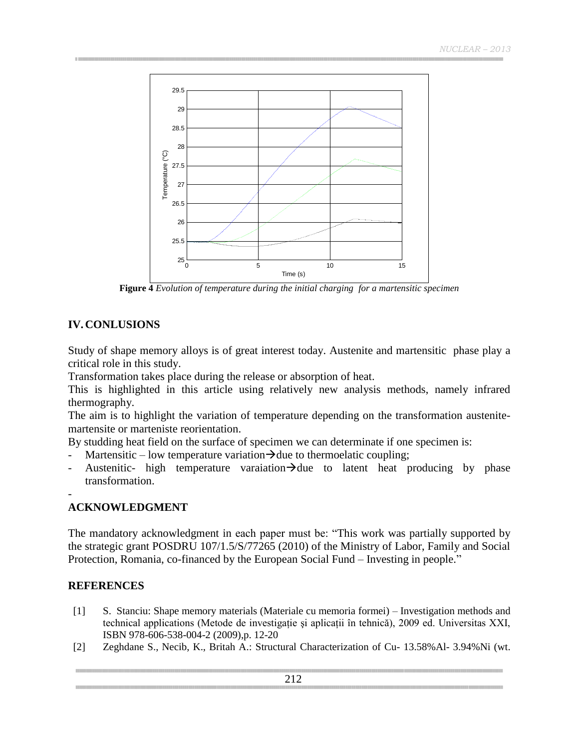

**Figure 4** *Evolution of temperature during the initial charging for a martensitic specimen*

# **IV.CONLUSIONS**

Study of shape memory alloys is of great interest today. Austenite and martensitic phase play a critical role in this study.

Transformation takes place during the release or absorption of heat.

This is highlighted in this article using relatively new analysis methods, namely infrared thermography.

The aim is to highlight the variation of temperature depending on the transformation austenitemartensite or marteniste reorientation.

By studding heat field on the surface of specimen we can determinate if one specimen is:

- Martensitic low temperature variation  $\rightarrow$  due to thermoelatic coupling;
- Austenitic- high temperature varaiation $\rightarrow$  due to latent heat producing by phase transformation.

### - **ACKNOWLEDGMENT**

The mandatory acknowledgment in each paper must be: "This work was partially supported by the strategic grant POSDRU 107/1.5/S/77265 (2010) of the Ministry of Labor, Family and Social Protection, Romania, co-financed by the European Social Fund – Investing in people."

# **REFERENCES**

- [1] S. Stanciu: Shape memory materials (Materiale cu memoria formei) Investigation methods and technical applications (Metode de investigație și aplicații în tehnică), 2009 ed. Universitas XXI, ISBN 978-606-538-004-2 (2009),p. 12-20
- [2] Zeghdane S., Necib, K., Britah A.: Structural Characterization of Cu- 13.58%Al- 3.94%Ni (wt.